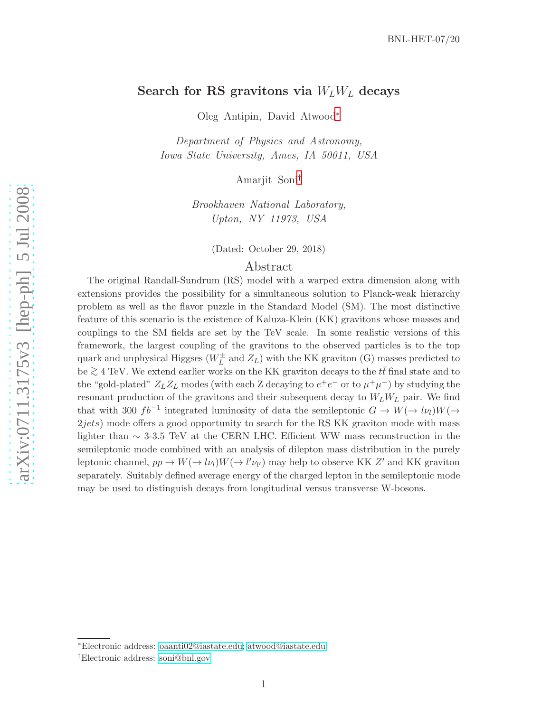# Search for RS gravitons via  $W_L W_L$  decays

Oleg Antipin, David Atwood [∗](#page-0-0)

Department of Physics and Astronomy, Iowa State University, Ames, IA 50011, USA

Amarjit Soni [†](#page-0-1)

Brookhaven National Laboratory, Upton, NY 11973, USA

(Dated: October 29, 2018)

# Abstract

The original Randall-Sundrum (RS) model with a warped extra dimension along with extensions provides the possibility for a simultaneous solution to Planck-weak hierarchy problem as well as the flavor puzzle in the Standard Model (SM). The most distinctive feature of this scenario is the existence of Kaluza-Klein (KK) gravitons whose masses and couplings to the SM fields are set by the TeV scale. In some realistic versions of this framework, the largest coupling of the gravitons to the observed particles is to the top quark and unphysical Higgses ( $W_L^{\pm}$  $L<sup>\pm</sup>$  and  $Z_L$ ) with the KK graviton (G) masses predicted to be  $\geq 4$  TeV. We extend earlier works on the KK graviton decays to the  $t\bar{t}$  final state and to the  $\frac{t}{t}$  and to the  $\frac{t}{t}$  and to the  $\frac{t}{t}$  and to the  $\frac{t}{t}$  and to the  $\frac{t}{t}$  and to the  $\frac{t}{t}$  the "gold-plated"  $Z_L Z_L$  modes (with each Z decaying to  $e^+e^-$  or to  $\mu^+\mu^-$ ) by studying the resonant production of the gravitons and their subsequent decay to  $W_L W_L$  pair. We find that with 300  $fb^{-1}$  integrated luminosity of data the semileptonic  $G \to W(\to l\nu_l)W(\to l\nu_r)$ 2jets) mode offers a good opportunity to search for the RS KK graviton mode with mass lighter than  $\sim$  3-3.5 TeV at the CERN LHC. Efficient WW mass reconstruction in the semileptonic mode combined with an analysis of dilepton mass distribution in the purely leptonic channel,  $pp \to W(\to l\nu_l)W(\to l'\nu_{l'})$  may help to observe KK Z' and KK graviton separately. Suitably defined average energy of the charged lepton in the semileptonic mode may be used to distinguish decays from longitudinal versus transverse W-bosons.

<span id="page-0-0"></span><sup>∗</sup>Electronic address: [oaanti02@iastate.edu;](mailto:oaanti02@iastate.edu) [atwood@iastate.edu](mailto:atwood@iastate.edu)

<span id="page-0-1"></span><sup>†</sup>Electronic address: [soni@bnl.gov](mailto:soni@bnl.gov)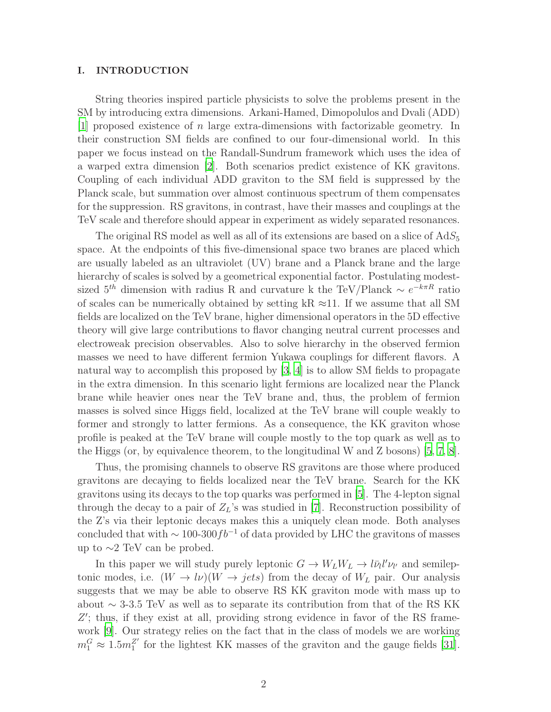### I. INTRODUCTION

String theories inspired particle physicists to solve the problems present in the SM by introducing extra dimensions. Arkani-Hamed, Dimopolulos and Dvali (ADD) [\[1](#page-16-0)] proposed existence of n large extra-dimensions with factorizable geometry. In their construction SM fields are confined to our four-dimensional world. In this paper we focus instead on the Randall-Sundrum framework which uses the idea of a warped extra dimension [\[2](#page-16-1)]. Both scenarios predict existence of KK gravitons. Coupling of each individual ADD graviton to the SM field is suppressed by the Planck scale, but summation over almost continuous spectrum of them compensates for the suppression. RS gravitons, in contrast, have their masses and couplings at the TeV scale and therefore should appear in experiment as widely separated resonances.

The original RS model as well as all of its extensions are based on a slice of  $AdS_5$ space. At the endpoints of this five-dimensional space two branes are placed which are usually labeled as an ultraviolet (UV) brane and a Planck brane and the large hierarchy of scales is solved by a geometrical exponential factor. Postulating modestsized  $5<sup>th</sup>$  dimension with radius R and curvature k the TeV/Planck  $\sim e^{-k\pi R}$  ratio of scales can be numerically obtained by setting kR  $\approx$ 11. If we assume that all SM fields are localized on the TeV brane, higher dimensional operators in the 5D effective theory will give large contributions to flavor changing neutral current processes and electroweak precision observables. Also to solve hierarchy in the observed fermion masses we need to have different fermion Yukawa couplings for different flavors. A natural way to accomplish this proposed by [\[3,](#page-16-2) [4\]](#page-16-3) is to allow SM fields to propagate in the extra dimension. In this scenario light fermions are localized near the Planck brane while heavier ones near the TeV brane and, thus, the problem of fermion masses is solved since Higgs field, localized at the TeV brane will couple weakly to former and strongly to latter fermions. As a consequence, the KK graviton whose profile is peaked at the TeV brane will couple mostly to the top quark as well as to the Higgs (or, by equivalence theorem, to the longitudinal W and Z bosons) [\[5](#page-16-4), [7](#page-16-5), [8\]](#page-16-6).

Thus, the promising channels to observe RS gravitons are those where produced gravitons are decaying to fields localized near the TeV brane. Search for the KK gravitons using its decays to the top quarks was performed in [\[5](#page-16-4)]. The 4-lepton signal through the decay to a pair of  $Z_L$ 's was studied in [\[7](#page-16-5)]. Reconstruction possibility of the Z's via their leptonic decays makes this a uniquely clean mode. Both analyses concluded that with  $\sim 100-300 fb^{-1}$  of data provided by LHC the gravitons of masses up to ∼2 TeV can be probed.

In this paper we will study purely leptonic  $G \to W_L W_L \to l \bar{\nu}_l l' \nu_{l'}$  and semileptonic modes, i.e.  $(W \to l\nu)(W \to jets)$  from the decay of  $W_L$  pair. Our analysis suggests that we may be able to observe RS KK graviton mode with mass up to about ∼ 3-3.5 TeV as well as to separate its contribution from that of the RS KK Z'; thus, if they exist at all, providing strong evidence in favor of the RS framework [\[9\]](#page-16-7). Our strategy relies on the fact that in the class of models we are working  $m_1^G \approx 1.5 m_1^{Z'}$  for the lightest KK masses of the graviton and the gauge fields [\[31\]](#page-17-0).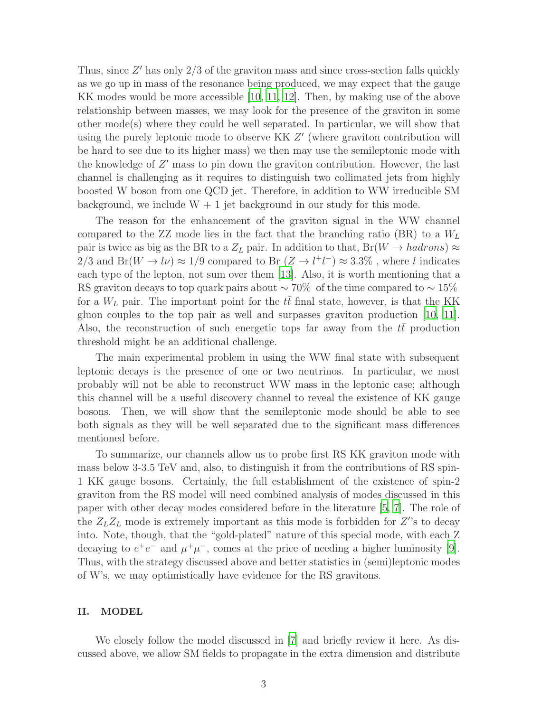Thus, since  $Z'$  has only  $2/3$  of the graviton mass and since cross-section falls quickly as we go up in mass of the resonance being produced, we may expect that the gauge KK modes would be more accessible [\[10,](#page-17-1) [11,](#page-17-2) [12](#page-17-3)]. Then, by making use of the above relationship between masses, we may look for the presence of the graviton in some other mode(s) where they could be well separated. In particular, we will show that using the purely leptonic mode to observe KK Z' (where graviton contribution will be hard to see due to its higher mass) we then may use the semileptonic mode with the knowledge of  $Z'$  mass to pin down the graviton contribution. However, the last channel is challenging as it requires to distinguish two collimated jets from highly boosted W boson from one QCD jet. Therefore, in addition to WW irreducible SM background, we include  $W + 1$  jet background in our study for this mode.

The reason for the enhancement of the graviton signal in the WW channel compared to the ZZ mode lies in the fact that the branching ratio (BR) to a  $W_L$ pair is twice as big as the BR to a  $Z_L$  pair. In addition to that,  $Br(W \to hadrons) \approx$ 2/3 and Br( $W \to l\nu$ )  $\approx 1/9$  compared to Br  $(Z \to l^+l^-) \approx 3.3\%$ , where l indicates each type of the lepton, not sum over them [\[13\]](#page-17-4). Also, it is worth mentioning that a RS graviton decays to top quark pairs about  $\sim 70\%$  of the time compared to  $\sim 15\%$ for a  $W_L$  pair. The important point for the tt final state, however, is that the KK gluon couples to the top pair as well and surpasses graviton production [\[10,](#page-17-1) [11\]](#page-17-2). Also, the reconstruction of such energetic tops far away from the  $t\bar{t}$  production threshold might be an additional challenge.

The main experimental problem in using the WW final state with subsequent leptonic decays is the presence of one or two neutrinos. In particular, we most probably will not be able to reconstruct WW mass in the leptonic case; although this channel will be a useful discovery channel to reveal the existence of KK gauge bosons. Then, we will show that the semileptonic mode should be able to see both signals as they will be well separated due to the significant mass differences mentioned before.

To summarize, our channels allow us to probe first RS KK graviton mode with mass below 3-3.5 TeV and, also, to distinguish it from the contributions of RS spin-1 KK gauge bosons. Certainly, the full establishment of the existence of spin-2 graviton from the RS model will need combined analysis of modes discussed in this paper with other decay modes considered before in the literature [\[5,](#page-16-4) [7\]](#page-16-5). The role of the  $Z_L Z_L$  mode is extremely important as this mode is forbidden for  $Z$ 's to decay into. Note, though, that the "gold-plated" nature of this special mode, with each Z decaying to  $e^+e^-$  and  $\mu^+\mu^-$ , comes at the price of needing a higher luminosity [\[9\]](#page-16-7). Thus, with the strategy discussed above and better statistics in (semi)leptonic modes of W's, we may optimistically have evidence for the RS gravitons.

### II. MODEL

We closely follow the model discussed in [\[7](#page-16-5)] and briefly review it here. As discussed above, we allow SM fields to propagate in the extra dimension and distribute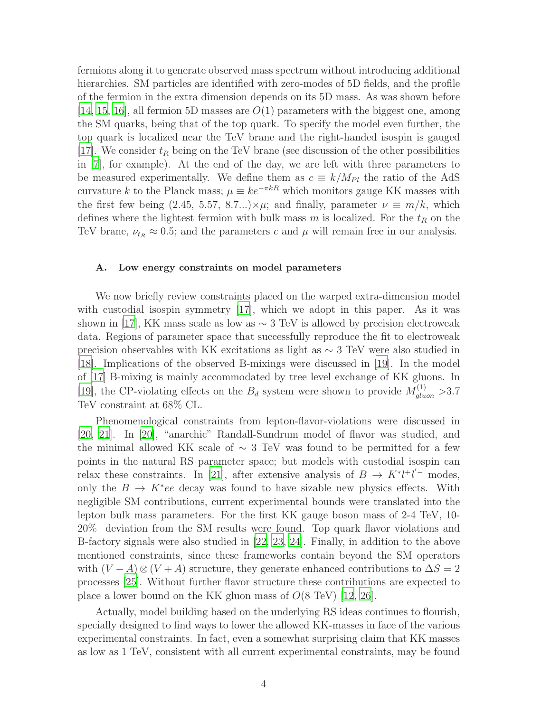fermions along it to generate observed mass spectrum without introducing additional hierarchies. SM particles are identified with zero-modes of 5D fields, and the profile of the fermion in the extra dimension depends on its 5D mass. As was shown before [\[14](#page-17-5), [15,](#page-17-6) [16\]](#page-17-7), all fermion 5D masses are  $O(1)$  parameters with the biggest one, among the SM quarks, being that of the top quark. To specify the model even further, the top quark is localized near the TeV brane and the right-handed isospin is gauged [\[17](#page-17-8)]. We consider  $t_R$  being on the TeV brane (see discussion of the other possibilities in [\[7\]](#page-16-5), for example). At the end of the day, we are left with three parameters to be measured experimentally. We define them as  $c \equiv k/M_{Pl}$  the ratio of the AdS curvature k to the Planck mass;  $\mu \equiv ke^{-\pi kR}$  which monitors gauge KK masses with the first few being (2.45, 5.57, 8.7...)× $\mu$ ; and finally, parameter  $\nu \equiv m/k$ , which defines where the lightest fermion with bulk mass m is localized. For the  $t_R$  on the TeV brane,  $\nu_{t_R} \approx 0.5$ ; and the parameters c and  $\mu$  will remain free in our analysis.

#### A. Low energy constraints on model parameters

We now briefly review constraints placed on the warped extra-dimension model with custodial isospin symmetry [\[17](#page-17-8)], which we adopt in this paper. As it was shown in [\[17\]](#page-17-8), KK mass scale as low as  $\sim$  3 TeV is allowed by precision electroweak data. Regions of parameter space that successfully reproduce the fit to electroweak precision observables with KK excitations as light as ∼ 3 TeV were also studied in [\[18](#page-17-9)]. Implications of the observed B-mixings were discussed in [\[19\]](#page-17-10). In the model of [\[17\]](#page-17-8) B-mixing is mainly accommodated by tree level exchange of KK gluons. In [\[19](#page-17-10)], the CP-violating effects on the  $B_d$  system were shown to provide  $M_{gluon}^{(1)} > 3.7$ TeV constraint at 68% CL.

Phenomenological constraints from lepton-flavor-violations were discussed in [\[20](#page-17-11), [21\]](#page-17-12). In [\[20](#page-17-11)], "anarchic" Randall-Sundrum model of flavor was studied, and the minimal allowed KK scale of  $\sim$  3 TeV was found to be permitted for a few points in the natural RS parameter space; but models with custodial isospin can relax these constraints. In [\[21](#page-17-12)], after extensive analysis of  $B \to K^* l^+ l^-$  modes, only the  $B \to K^*ee$  decay was found to have sizable new physics effects. With negligible SM contributions, current experimental bounds were translated into the lepton bulk mass parameters. For the first KK gauge boson mass of 2-4 TeV, 10- 20% deviation from the SM results were found. Top quark flavor violations and B-factory signals were also studied in [\[22](#page-17-13), [23,](#page-17-14) [24\]](#page-17-15). Finally, in addition to the above mentioned constraints, since these frameworks contain beyond the SM operators with  $(V - A) \otimes (V + A)$  structure, they generate enhanced contributions to  $\Delta S = 2$ processes [\[25\]](#page-17-16). Without further flavor structure these contributions are expected to place a lower bound on the KK gluon mass of  $O(8 \text{ TeV})$  [\[12](#page-17-3), [26](#page-17-17)].

Actually, model building based on the underlying RS ideas continues to flourish, specially designed to find ways to lower the allowed KK-masses in face of the various experimental constraints. In fact, even a somewhat surprising claim that KK masses as low as 1 TeV, consistent with all current experimental constraints, may be found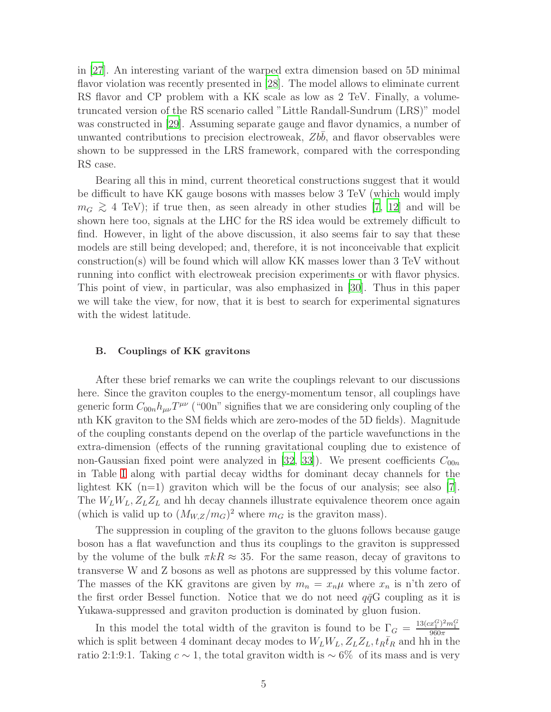in [\[27\]](#page-17-18). An interesting variant of the warped extra dimension based on 5D minimal flavor violation was recently presented in [\[28](#page-17-19)]. The model allows to eliminate current RS flavor and CP problem with a KK scale as low as 2 TeV. Finally, a volumetruncated version of the RS scenario called "Little Randall-Sundrum (LRS)" model was constructed in [\[29\]](#page-17-20). Assuming separate gauge and flavor dynamics, a number of unwanted contributions to precision electroweak,  $Zbb$ , and flavor observables were shown to be suppressed in the LRS framework, compared with the corresponding RS case.

Bearing all this in mind, current theoretical constructions suggest that it would be difficult to have KK gauge bosons with masses below 3 TeV (which would imply  $m_G \gtrsim 4$  TeV); if true then, as seen already in other studies [\[7](#page-16-5), [12\]](#page-17-3) and will be shown here too, signals at the LHC for the RS idea would be extremely difficult to find. However, in light of the above discussion, it also seems fair to say that these models are still being developed; and, therefore, it is not inconceivable that explicit construction(s) will be found which will allow KK masses lower than 3 TeV without running into conflict with electroweak precision experiments or with flavor physics. This point of view, in particular, was also emphasized in [\[30](#page-17-21)]. Thus in this paper we will take the view, for now, that it is best to search for experimental signatures with the widest latitude.

### B. Couplings of KK gravitons

After these brief remarks we can write the couplings relevant to our discussions here. Since the graviton couples to the energy-momentum tensor, all couplings have generic form  $C_{00n}h_{\mu\nu}T^{\mu\nu}$  ("00n" signifies that we are considering only coupling of the nth KK graviton to the SM fields which are zero-modes of the 5D fields). Magnitude of the coupling constants depend on the overlap of the particle wavefunctions in the extra-dimension (effects of the running gravitational coupling due to existence of non-Gaussian fixed point were analyzed in [\[32](#page-17-22), [33](#page-17-23)]). We present coefficients  $C_{00n}$ in Table [I](#page-5-0) along with partial decay widths for dominant decay channels for the lightest KK  $(n=1)$  graviton which will be the focus of our analysis; see also [\[7\]](#page-16-5). The  $W_L W_L, Z_L Z_L$  and hh decay channels illustrate equivalence theorem once again (which is valid up to  $(M_{W,Z}/m_G)^2$  where  $m_G$  is the graviton mass).

The suppression in coupling of the graviton to the gluons follows because gauge boson has a flat wavefunction and thus its couplings to the graviton is suppressed by the volume of the bulk  $\pi kR \approx 35$ . For the same reason, decay of gravitons to transverse W and Z bosons as well as photons are suppressed by this volume factor. The masses of the KK gravitons are given by  $m_n = x_n \mu$  where  $x_n$  is n'th zero of the first order Bessel function. Notice that we do not need  $q\bar{q}G$  coupling as it is Yukawa-suppressed and graviton production is dominated by gluon fusion.

In this model the total width of the graviton is found to be  $\Gamma_G = \frac{13(c_x^C)^2 m_1^C}{960\pi}$ which is split between 4 dominant decay modes to  $W_L W_L$ ,  $Z_L Z_L$ ,  $t_R \bar{t}_R$  and hh in the ratio 2:1:9:1. Taking  $c \sim 1$ , the total graviton width is ~ 6% of its mass and is very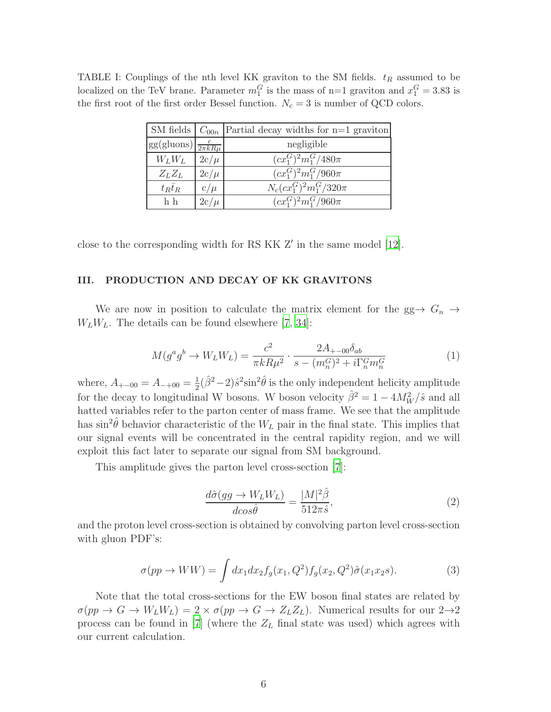TABLE I: Couplings of the nth level KK graviton to the SM fields.  $t_R$  assumed to be localized on the TeV brane. Parameter  $m_1^G$  is the mass of n=1 graviton and  $x_1^G = 3.83$  is the first root of the first order Bessel function.  $N_c = 3$  is number of QCD colors.

<span id="page-5-0"></span>

|                                               |          | SM fields $\mid$ $C_{00n}$  Partial decay widths for n=1 graviton |
|-----------------------------------------------|----------|-------------------------------------------------------------------|
| $gg(gluons)\left(\frac{c}{2\pi kR\mu}\right)$ |          | negligible                                                        |
| $W_L W_L$                                     | $2c/\mu$ | $(cx_1^G)^2m_1^G/480\pi$                                          |
| $Z_L Z_L$                                     | $2c/\mu$ | $(cx_1^G)^2m_1^G/960\pi$                                          |
| $t_R\bar{t}_R$                                | $c/\mu$  | $N_c (c x_1^G)^2 m_1^G / 320\pi$                                  |
| h h                                           | $2c/\mu$ | $(cx_1^G)^2m_1^G/960\pi$                                          |

close to the corresponding width for RS KK Z′ in the same model [\[12\]](#page-17-3).

### III. PRODUCTION AND DECAY OF KK GRAVITONS

We are now in position to calculate the matrix element for the  $gg \to G_n \to$  $W_L W_L$ . The details can be found elsewhere [\[7,](#page-16-5) [34\]](#page-17-24):

$$
M(g^a g^b \to W_L W_L) = \frac{c^2}{\pi k R \mu^2} \cdot \frac{2A_{+-00} \delta_{ab}}{s - (m_n^G)^2 + i \Gamma_n^G m_n^G}
$$
(1)

where,  $A_{+-00} = A_{-+00} = \frac{1}{2}$  $\frac{1}{2}(\hat{\beta}^2-2)\hat{s}^2\sin^2\hat{\theta}$  is the only independent helicity amplitude for the decay to longitudinal W bosons. W boson velocity  $\hat{\beta}^2 = 1 - 4M_W^2/\hat{s}$  and all hatted variables refer to the parton center of mass frame. We see that the amplitude has  $\sin^2 \hat{\theta}$  behavior characteristic of the  $W_L$  pair in the final state. This implies that our signal events will be concentrated in the central rapidity region, and we will exploit this fact later to separate our signal from SM background.

This amplitude gives the parton level cross-section [\[7](#page-16-5)]:

$$
\frac{d\hat{\sigma}(gg \to W_L W_L)}{d\cos\hat{\theta}} = \frac{|M|^2 \hat{\beta}}{512\pi\hat{s}},\tag{2}
$$

and the proton level cross-section is obtained by convolving parton level cross-section with gluon PDF's:

$$
\sigma(pp \to WW) = \int dx_1 dx_2 f_g(x_1, Q^2) f_g(x_2, Q^2) \hat{\sigma}(x_1 x_2 s). \tag{3}
$$

Note that the total cross-sections for the EW boson final states are related by  $\sigma(pp \to G \to W_LW_L) = 2 \times \sigma(pp \to G \to Z_LZ_L)$ . Numerical results for our  $2\to 2$ process can be found in [\[7](#page-16-5)] (where the  $Z_L$  final state was used) which agrees with our current calculation.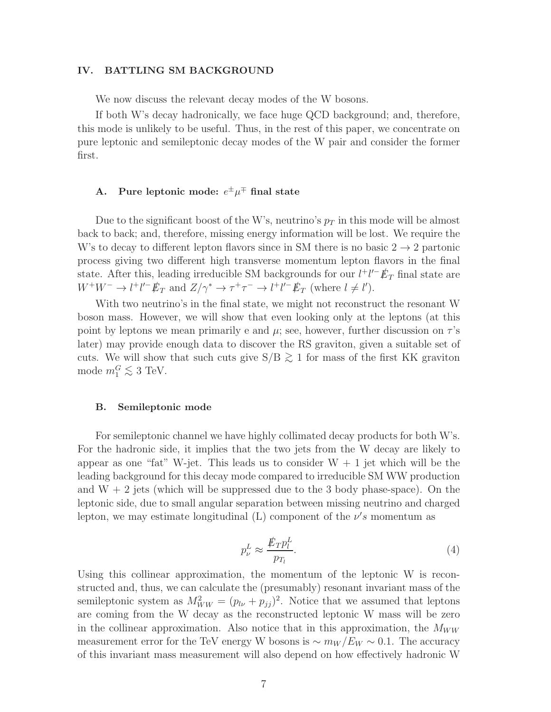## IV. BATTLING SM BACKGROUND

We now discuss the relevant decay modes of the W bosons.

If both W's decay hadronically, we face huge QCD background; and, therefore, this mode is unlikely to be useful. Thus, in the rest of this paper, we concentrate on pure leptonic and semileptonic decay modes of the W pair and consider the former first.

# A. Pure leptonic mode:  $e^{\pm} \mu^{\mp}$  final state

Due to the significant boost of the W's, neutrino's  $p<sub>T</sub>$  in this mode will be almost back to back; and, therefore, missing energy information will be lost. We require the W's to decay to different lepton flavors since in SM there is no basic  $2 \rightarrow 2$  partonic process giving two different high transverse momentum lepton flavors in the final state. After this, leading irreducible SM backgrounds for our  $l^+l'^- \rlap{\,/}E_T$  final state are  $W^+W^-\to l^+l'^-E_T$  and  $Z/\gamma^*\to \tau^+\tau^-\to l^+l'^-E_T$  (where  $l\neq l'$ ).

With two neutrino's in the final state, we might not reconstruct the resonant W boson mass. However, we will show that even looking only at the leptons (at this point by leptons we mean primarily e and  $\mu$ ; see, however, further discussion on  $\tau$ 's later) may provide enough data to discover the RS graviton, given a suitable set of cuts. We will show that such cuts give  $S/B \gtrsim 1$  for mass of the first KK graviton mode  $m_1^G \lesssim 3$  TeV.

#### B. Semileptonic mode

For semileptonic channel we have highly collimated decay products for both W's. For the hadronic side, it implies that the two jets from the W decay are likely to appear as one "fat" W-jet. This leads us to consider  $W + 1$  jet which will be the leading background for this decay mode compared to irreducible SM WW production and  $W + 2$  jets (which will be suppressed due to the 3 body phase-space). On the leptonic side, due to small angular separation between missing neutrino and charged lepton, we may estimate longitudinal (L) component of the  $\nu's$  momentum as

$$
p_{\nu}^{L} \approx \frac{\rlap{\,/}E_T p_l^L}{p_{T_l}}.\tag{4}
$$

Using this collinear approximation, the momentum of the leptonic W is reconstructed and, thus, we can calculate the (presumably) resonant invariant mass of the semileptonic system as  $M_{WW}^2 = (p_{l\nu} + p_{jj})^2$ . Notice that we assumed that leptons are coming from the W decay as the reconstructed leptonic W mass will be zero in the collinear approximation. Also notice that in this approximation, the  $M_{WW}$ measurement error for the TeV energy W bosons is  $\sim m_W/E_W \sim 0.1$ . The accuracy of this invariant mass measurement will also depend on how effectively hadronic W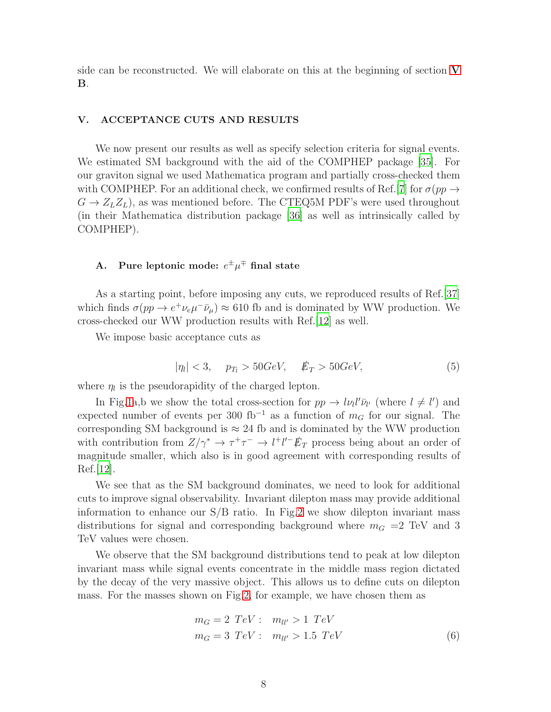side can be reconstructed. We will elaborate on this at the beginning of section [V](#page-7-0) B.

### <span id="page-7-0"></span>V. ACCEPTANCE CUTS AND RESULTS

We now present our results as well as specify selection criteria for signal events. We estimated SM background with the aid of the COMPHEP package [\[35](#page-17-25)]. For our graviton signal we used Mathematica program and partially cross-checked them with COMPHEP. For an additional check, we confirmed results of Ref.[\[7\]](#page-16-5) for  $\sigma(pp \to$  $G \to Z_L Z_L$ , as was mentioned before. The CTEQ5M PDF's were used throughout (in their Mathematica distribution package [\[36](#page-17-26)] as well as intrinsically called by COMPHEP).

# A. Pure leptonic mode:  $e^{\pm} \mu^{\mp}$  final state

As a starting point, before imposing any cuts, we reproduced results of Ref.[\[37](#page-17-27)] which finds  $\sigma(pp \to e^+\nu_e\mu^-\bar{\nu}_\mu) \approx 610$  fb and is dominated by WW production. We cross-checked our WW production results with Ref.[\[12\]](#page-17-3) as well.

We impose basic acceptance cuts as

<span id="page-7-1"></span>
$$
|\eta_l| < 3, \quad p_{T_l} > 50 \, \text{GeV}, \quad \not{E}_T > 50 \, \text{GeV}, \tag{5}
$$

where  $\eta_l$  is the pseudorapidity of the charged lepton.

In Fig[.1a](#page-8-0),b we show the total cross-section for  $pp \to l\nu_l l' \bar{\nu}_{l'}$  (where  $l \neq l'$ ) and expected number of events per 300 fb<sup>-1</sup> as a function of  $m<sub>G</sub>$  for our signal. The corresponding SM background is  $\approx 24$  fb and is dominated by the WW production with contribution from  $Z/\gamma^* \to \tau^+\tau^- \to l^+l'^- \rlap{\,/}E_T$  process being about an order of magnitude smaller, which also is in good agreement with corresponding results of Ref.[\[12\]](#page-17-3).

We see that as the SM background dominates, we need to look for additional cuts to improve signal observability. Invariant dilepton mass may provide additional information to enhance our S/B ratio. In Fig[.2](#page-9-0) we show dilepton invariant mass distributions for signal and corresponding background where  $m<sub>G</sub> = 2 \text{ TeV}$  and 3 TeV values were chosen.

We observe that the SM background distributions tend to peak at low dilepton invariant mass while signal events concentrate in the middle mass region dictated by the decay of the very massive object. This allows us to define cuts on dilepton mass. For the masses shown on Fig[.2,](#page-9-0) for example, we have chosen them as

<span id="page-7-2"></span>
$$
m_G = 2 \ TeV : \ m_{ll'} > 1 \ TeV
$$
  

$$
m_G = 3 \ TeV : \ m_{ll'} > 1.5 \ TeV
$$
 (6)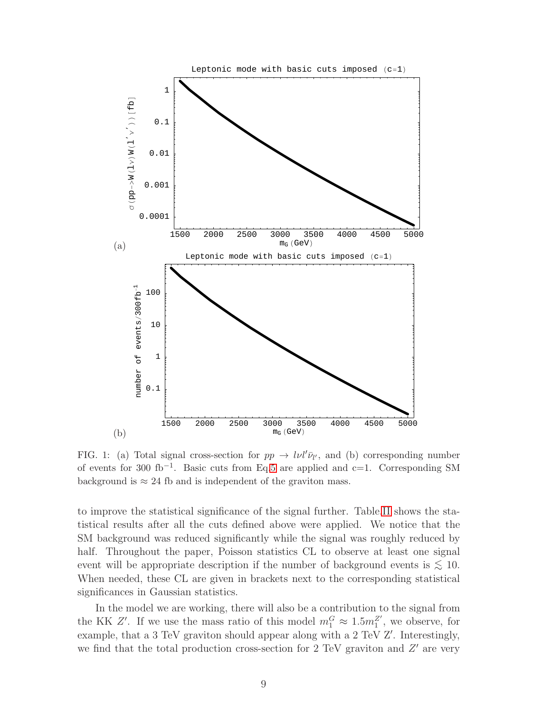

<span id="page-8-0"></span>FIG. 1: (a) Total signal cross-section for  $pp \to l\nu l' \bar{\nu}_l$ , and (b) corresponding number of events for 300 fb−<sup>1</sup> . Basic cuts from Eq[.5](#page-7-1) are applied and c=1. Corresponding SM background is  $\approx 24$  fb and is independent of the graviton mass.

to improve the statistical significance of the signal further. Table[.II](#page-10-0) shows the statistical results after all the cuts defined above were applied. We notice that the SM background was reduced significantly while the signal was roughly reduced by half. Throughout the paper, Poisson statistics CL to observe at least one signal event will be appropriate description if the number of background events is  $\lesssim 10$ . When needed, these CL are given in brackets next to the corresponding statistical significances in Gaussian statistics.

In the model we are working, there will also be a contribution to the signal from the KK Z'. If we use the mass ratio of this model  $m_1^G \approx 1.5 m_1^{Z'}$  $_1^2$ <sup>'</sup>, we observe, for example, that a 3 TeV graviton should appear along with a 2 TeV Z′ . Interestingly, we find that the total production cross-section for 2 TeV graviton and  $Z'$  are very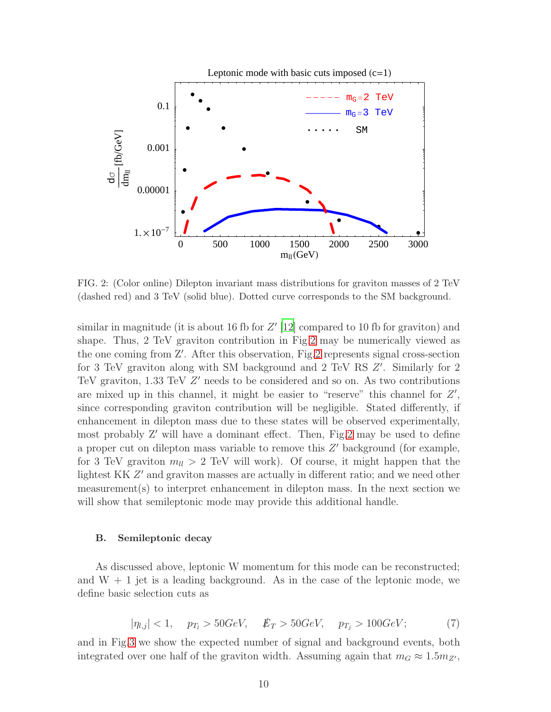

<span id="page-9-0"></span>FIG. 2: (Color online) Dilepton invariant mass distributions for graviton masses of 2 TeV (dashed red) and 3 TeV (solid blue). Dotted curve corresponds to the SM background.

similar in magnitude (it is about 16 fb for  $Z'$  [\[12](#page-17-3)] compared to 10 fb for graviton) and shape. Thus, 2 TeV graviton contribution in Fig[.2](#page-9-0) may be numerically viewed as the one coming from Z′ . After this observation, Fig[.2](#page-9-0) represents signal cross-section for 3 TeV graviton along with SM background and 2 TeV RS  $Z'$ . Similarly for 2 TeV graviton, 1.33 TeV Z' needs to be considered and so on. As two contributions are mixed up in this channel, it might be easier to "reserve" this channel for  $Z'$ , since corresponding graviton contribution will be negligible. Stated differently, if enhancement in dilepton mass due to these states will be observed experimentally, most probably Z′ will have a dominant effect. Then, Fig[.2](#page-9-0) may be used to define a proper cut on dilepton mass variable to remove this  $Z'$  background (for example, for 3 TeV graviton  $m_{ll} > 2$  TeV will work). Of course, it might happen that the lightest KK  $Z'$  and graviton masses are actually in different ratio; and we need other measurement(s) to interpret enhancement in dilepton mass. In the next section we will show that semileptonic mode may provide this additional handle.

### B. Semileptonic decay

As discussed above, leptonic W momentum for this mode can be reconstructed; and  $W + 1$  jet is a leading background. As in the case of the leptonic mode, we define basic selection cuts as

<span id="page-9-1"></span>
$$
|\eta_{l,j}| < 1, \quad p_{T_l} > 50 \, \text{GeV}, \quad \not{E}_T > 50 \, \text{GeV}, \quad p_{T_j} > 100 \, \text{GeV}; \tag{7}
$$

and in Fig[.3](#page-10-1) we show the expected number of signal and background events, both integrated over one half of the graviton width. Assuming again that  $m_G \approx 1.5 m_{Z'}$ ,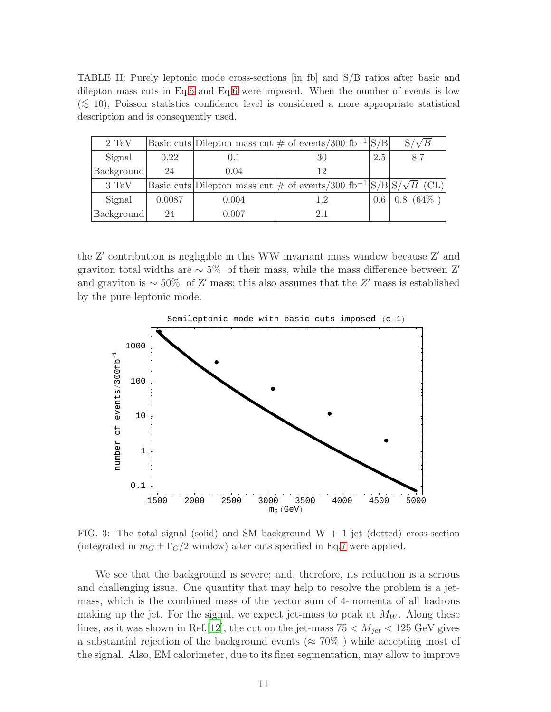<span id="page-10-0"></span>TABLE II: Purely leptonic mode cross-sections [in fb] and S/B ratios after basic and dilepton mass cuts in Eq[.5](#page-7-1) and Eq[.6](#page-7-2) were imposed. When the number of events is low  $(\lesssim 10)$ , Poisson statistics confidence level is considered a more appropriate statistical description and is consequently used.

| $2 \text{ TeV}$ |        |       | Basic cuts Dilepton mass cut $\#$ of events/300 fb <sup>-1</sup> S/B                             |     | $S/\sqrt{B}$ |
|-----------------|--------|-------|--------------------------------------------------------------------------------------------------|-----|--------------|
| Signal          | 0.22   | 0.1   | 30                                                                                               | 2.5 | 8.7          |
| Background      | 24     | 0.04  | 12                                                                                               |     |              |
| 3 TeV           |        |       | Basic cuts Dilepton mass cut $\#$ of events/300 fb <sup>-1</sup> $\frac{ S/B }{S/\sqrt{B}}$ (CL) |     |              |
| Signal          | 0.0087 | 0.004 | 1.2                                                                                              |     | $0.8~(64\%)$ |
| Background      | 24     | 0.007 | 2.1                                                                                              |     |              |

the Z' contribution is negligible in this WW invariant mass window because Z' and graviton total widths are  $\sim 5\%$  of their mass, while the mass difference between Z' and graviton is  $\sim$  50% of Z' mass; this also assumes that the Z' mass is established by the pure leptonic mode.



<span id="page-10-1"></span>FIG. 3: The total signal (solid) and SM background  $W + 1$  jet (dotted) cross-section (integrated in  $m<sub>G</sub> \pm \Gamma<sub>G</sub>/2$  window) after cuts specified in Eq[.7](#page-9-1) were applied.

We see that the background is severe; and, therefore, its reduction is a serious and challenging issue. One quantity that may help to resolve the problem is a jetmass, which is the combined mass of the vector sum of 4-momenta of all hadrons making up the jet. For the signal, we expect jet-mass to peak at  $M_W$ . Along these lines, as it was shown in Ref. [\[12](#page-17-3)], the cut on the jet-mass  $75 < M_{jet} < 125 \text{ GeV}$  gives a substantial rejection of the background events ( $\approx 70\%$ ) while accepting most of the signal. Also, EM calorimeter, due to its finer segmentation, may allow to improve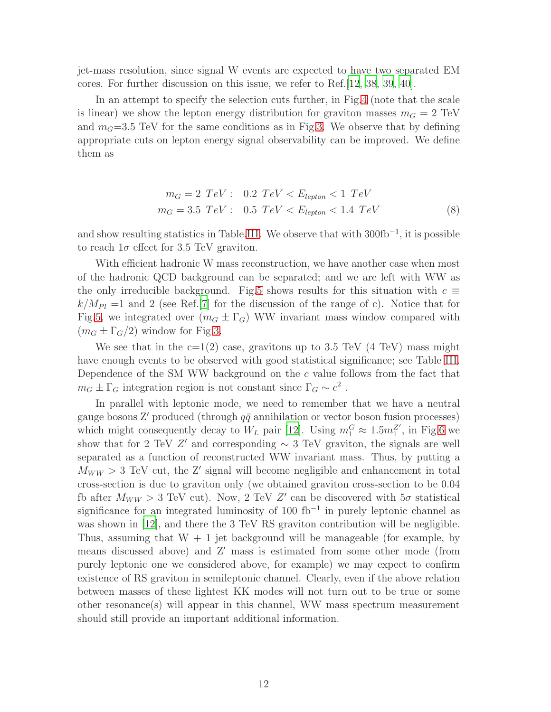jet-mass resolution, since signal W events are expected to have two separated EM cores. For further discussion on this issue, we refer to Ref.[\[12,](#page-17-3) [38,](#page-17-28) [39,](#page-18-0) [40](#page-18-1)].

In an attempt to specify the selection cuts further, in Fig[.4](#page-12-0) (note that the scale is linear) we show the lepton energy distribution for graviton masses  $m<sub>G</sub> = 2$  TeV and  $m<sub>G</sub>=3.5$  TeV for the same conditions as in Fig[.3.](#page-10-1) We observe that by defining appropriate cuts on lepton energy signal observability can be improved. We define them as

<span id="page-11-0"></span>
$$
m_G = 2 \ TeV : \quad 0.2 \ TeV < E_{lepton} < 1 \ TeV
$$
\n
$$
m_G = 3.5 \ TeV : \quad 0.5 \ TeV < E_{lepton} < 1.4 \ TeV \tag{8}
$$

and show resulting statistics in Table[.III.](#page-14-0) We observe that with  $300\text{fb}^{-1}$ , it is possible to reach  $1\sigma$  effect for 3.5 TeV graviton.

With efficient hadronic W mass reconstruction, we have another case when most of the hadronic QCD background can be separated; and we are left with WW as the only irreducible background. Fig[.5](#page-13-0) shows results for this situation with  $c \equiv$  $k/M_{Pl} =1$  and 2 (see Ref.[\[7](#page-16-5)] for the discussion of the range of c). Notice that for Fig[.5,](#page-13-0) we integrated over  $(m_G \pm \Gamma_G)$  WW invariant mass window compared with  $(m_G \pm \Gamma_G/2)$  window for Fig[.3.](#page-10-1)

We see that in the  $c=1(2)$  case, gravitons up to 3.5 TeV (4 TeV) mass might have enough events to be observed with good statistical significance; see Table [III.](#page-14-0) Dependence of the SM WW background on the c value follows from the fact that  $m_G \pm \Gamma_G$  integration region is not constant since  $\Gamma_G \sim c^2$ .

In parallel with leptonic mode, we need to remember that we have a neutral gauge bosons Z' produced (through  $q\bar{q}$  annihilation or vector boson fusion processes) which might consequently decay to  $W_L$  pair [\[12\]](#page-17-3). Using  $m_1^G \approx 1.5 m_1^{Z'}$ , in Fig[.6](#page-15-0) we show that for 2 TeV Z' and corresponding  $\sim 3$  TeV graviton, the signals are well separated as a function of reconstructed WW invariant mass. Thus, by putting a  $M_{WW} > 3$  TeV cut, the Z' signal will become negligible and enhancement in total cross-section is due to graviton only (we obtained graviton cross-section to be 0.04 fb after  $M_{WW} > 3$  TeV cut). Now, 2 TeV Z' can be discovered with  $5\sigma$  statistical significance for an integrated luminosity of 100 fb<sup>-1</sup> in purely leptonic channel as was shown in [\[12\]](#page-17-3), and there the 3 TeV RS graviton contribution will be negligible. Thus, assuming that  $W + 1$  jet background will be manageable (for example, by means discussed above) and Z′ mass is estimated from some other mode (from purely leptonic one we considered above, for example) we may expect to confirm existence of RS graviton in semileptonic channel. Clearly, even if the above relation between masses of these lightest KK modes will not turn out to be true or some other resonance(s) will appear in this channel, WW mass spectrum measurement should still provide an important additional information.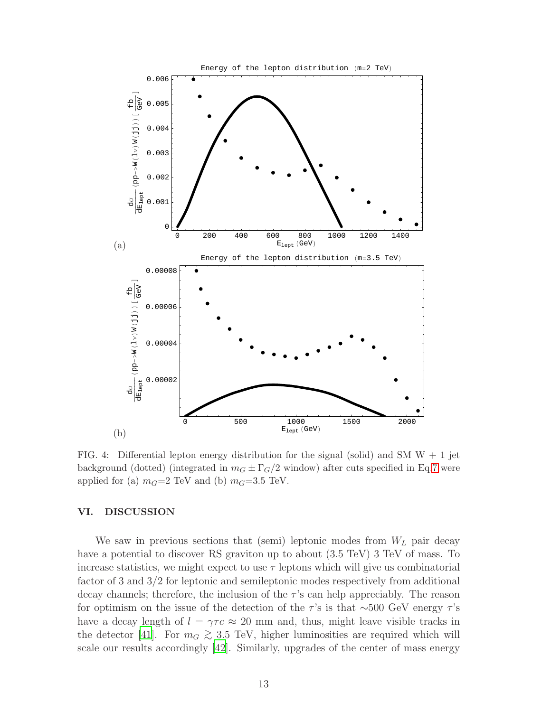

<span id="page-12-0"></span>FIG. 4: Differential lepton energy distribution for the signal (solid) and SM  $W + 1$  jet background (dotted) (integrated in  $m<sub>G</sub> \pm \Gamma$ <sub>G</sub>/2 window) after cuts specified in Eq[.7](#page-9-1) were applied for (a)  $m<sub>G</sub>=2$  TeV and (b)  $m<sub>G</sub>=3.5$  TeV.

### VI. DISCUSSION

We saw in previous sections that (semi) leptonic modes from  $W_L$  pair decay have a potential to discover RS graviton up to about (3.5 TeV) 3 TeV of mass. To increase statistics, we might expect to use  $\tau$  leptons which will give us combinatorial factor of 3 and 3/2 for leptonic and semileptonic modes respectively from additional decay channels; therefore, the inclusion of the  $\tau$ 's can help appreciably. The reason for optimism on the issue of the detection of the  $\tau$ 's is that ∼500 GeV energy  $\tau$ 's have a decay length of  $l = \gamma \tau c \approx 20$  mm and, thus, might leave visible tracks in the detector [\[41](#page-18-2)]. For  $m_G \gtrsim 3.5$  TeV, higher luminosities are required which will scale our results accordingly [\[42\]](#page-18-3). Similarly, upgrades of the center of mass energy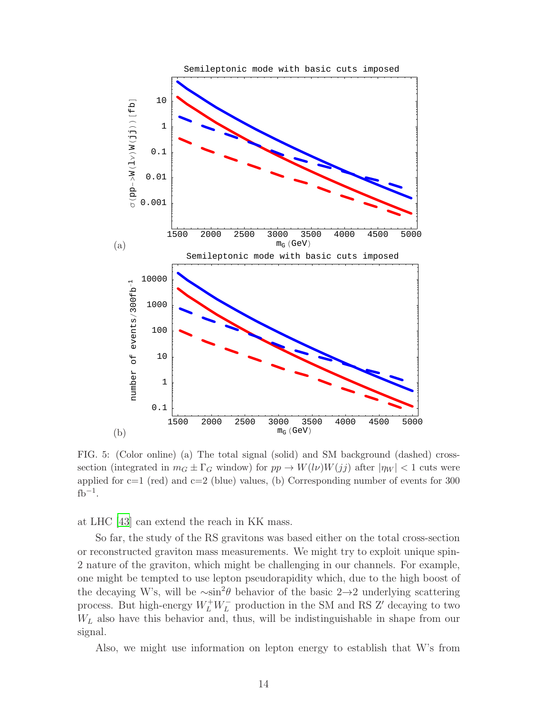

<span id="page-13-0"></span>FIG. 5: (Color online) (a) The total signal (solid) and SM background (dashed) crosssection (integrated in  $m_G \pm \Gamma_G$  window) for  $pp \to W(l\nu)W(jj)$  after  $|\eta_W| < 1$  cuts were applied for  $c=1$  (red) and  $c=2$  (blue) values, (b) Corresponding number of events for 300  $fb^{-1}$ .

at LHC [\[43\]](#page-18-4) can extend the reach in KK mass.

So far, the study of the RS gravitons was based either on the total cross-section or reconstructed graviton mass measurements. We might try to exploit unique spin-2 nature of the graviton, which might be challenging in our channels. For example, one might be tempted to use lepton pseudorapidity which, due to the high boost of the decaying W's, will be  $\sim \sin^2 \theta$  behavior of the basic 2→2 underlying scattering process. But high-energy  $W_L^+ W_L^-$  production in the SM and RS Z' decaying to two  $W<sub>L</sub>$  also have this behavior and, thus, will be indistinguishable in shape from our signal.

Also, we might use information on lepton energy to establish that W's from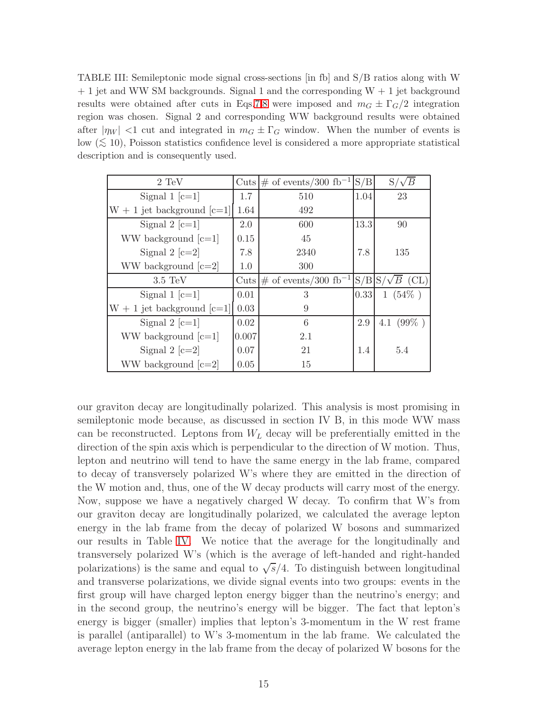<span id="page-14-0"></span>TABLE III: Semileptonic mode signal cross-sections [in fb] and S/B ratios along with W  $+ 1$  jet and WW SM backgrounds. Signal 1 and the corresponding  $W + 1$  jet background results were obtained after cuts in Eqs[.7,](#page-9-1)[8](#page-11-0) were imposed and  $m<sub>G</sub> \pm \Gamma<sub>G</sub>/2$  integration region was chosen. Signal 2 and corresponding WW background results were obtained after  $|\eta_W|$  <1 cut and integrated in  $m_G \pm \Gamma_G$  window. When the number of events is low ( $\lesssim$  10), Poisson statistics confidence level is considered a more appropriate statistical description and is consequently used.

| $2 \text{ TeV}$                |       | Cuts $\#$ of events/300 fb <sup>-1</sup>                                 | S/B  | $S/\sqrt{B}$ |
|--------------------------------|-------|--------------------------------------------------------------------------|------|--------------|
| Signal 1 $[c=1]$               | 1.7   | 510                                                                      | 1.04 | 23           |
| $W + 1$ jet background $[c=1]$ | 1.64  | 492                                                                      |      |              |
| Signal 2 $[c=1]$               | 2.0   | 600                                                                      | 13.3 | 90           |
| WW background $[c=1]$          | 0.15  | 45                                                                       |      |              |
| Signal 2 $[c=2]$               | 7.8   | 2340                                                                     | 7.8  | 135          |
| WW background $[c=2]$          | 1.0   | 300                                                                      |      |              |
|                                |       |                                                                          |      |              |
| $3.5 \text{ TeV}$              |       | Cuts $\#$ of events/300 fb <sup>-1</sup> $\frac{ S/B }{S/\sqrt{B}}$ (CL) |      |              |
| Signal 1 $[c=1]$               | 0.01  | 3                                                                        | 0.33 | $1(54\%)$    |
| $W + 1$ jet background $[c=1]$ | 0.03  | 9                                                                        |      |              |
| Signal 2 $[c=1]$               | 0.02  | 6                                                                        | 2.9  | 4.1 $(99\%)$ |
| WW background $[c=1]$          | 0.007 | 2.1                                                                      |      |              |
| Signal 2 $[c=2]$               | 0.07  | 21                                                                       | 1.4  | 5.4          |

our graviton decay are longitudinally polarized. This analysis is most promising in semileptonic mode because, as discussed in section IV B, in this mode WW mass can be reconstructed. Leptons from  $W_L$  decay will be preferentially emitted in the direction of the spin axis which is perpendicular to the direction of W motion. Thus, lepton and neutrino will tend to have the same energy in the lab frame, compared to decay of transversely polarized W's where they are emitted in the direction of the W motion and, thus, one of the W decay products will carry most of the energy. Now, suppose we have a negatively charged W decay. To confirm that W's from our graviton decay are longitudinally polarized, we calculated the average lepton energy in the lab frame from the decay of polarized W bosons and summarized our results in Table [IV.](#page-15-1) We notice that the average for the longitudinally and transversely polarized W's (which is the average of left-handed and right-handed polarizations) is the same and equal to  $\sqrt{s}/4$ . To distinguish between longitudinal and transverse polarizations, we divide signal events into two groups: events in the first group will have charged lepton energy bigger than the neutrino's energy; and in the second group, the neutrino's energy will be bigger. The fact that lepton's energy is bigger (smaller) implies that lepton's 3-momentum in the W rest frame is parallel (antiparallel) to W's 3-momentum in the lab frame. We calculated the average lepton energy in the lab frame from the decay of polarized W bosons for the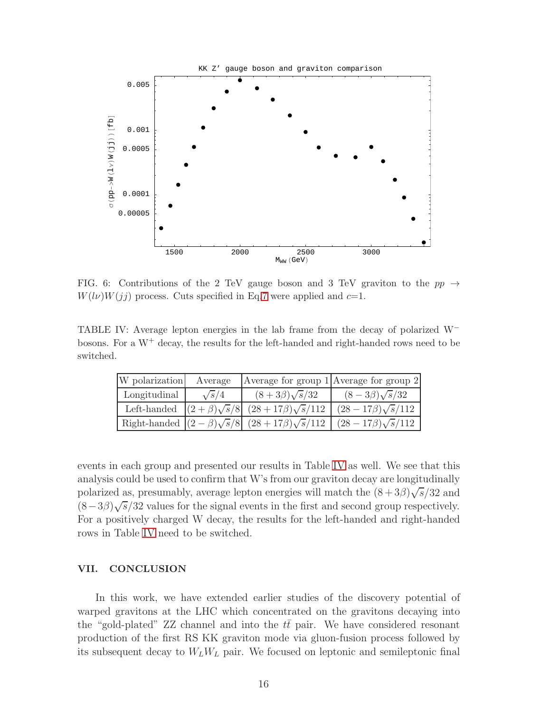

<span id="page-15-0"></span>FIG. 6: Contributions of the 2 TeV gauge boson and 3 TeV graviton to the  $pp \rightarrow$  $W(l\nu)W(jj)$  process. Cuts specified in Eq[.7](#page-9-1) were applied and  $c=1$ .

TABLE IV: Average lepton energies in the lab frame from the decay of polarized W<sup>−</sup> bosons. For a  $W^+$  decay, the results for the left-handed and right-handed rows need to be switched.

<span id="page-15-1"></span>

| W polarization | Average      |                                                                 | Average for group $1$ Average for group $2$ |
|----------------|--------------|-----------------------------------------------------------------|---------------------------------------------|
| Longitudinal   | $\sqrt{s}/4$ | $(8+3\beta)\sqrt{s}/32$                                         | $(8-3\beta)\sqrt{s}/32$                     |
|                |              | Left-handed $ (2+\beta)\sqrt{s}/8 $ $(28+17\beta)\sqrt{s}/112$  | $(28 - 17\beta)\sqrt{s}/112$                |
|                |              | Right-handed $ (2-\beta)\sqrt{s}/8 $ $(28+17\beta)\sqrt{s}/112$ | $(28-17\beta)\sqrt{s}/112$                  |

events in each group and presented our results in Table [IV](#page-15-1) as well. We see that this analysis could be used to confirm that W's from our graviton decay are longitudinally polarized as, presumably, average lepton energies will match the  $(8+3\beta)\sqrt{s}/32$  and  $(8-3\beta)\sqrt{s}/32$  values for the signal events in the first and second group respectively. For a positively charged W decay, the results for the left-handed and right-handed rows in Table [IV](#page-15-1) need to be switched.

### VII. CONCLUSION

In this work, we have extended earlier studies of the discovery potential of warped gravitons at the LHC which concentrated on the gravitons decaying into the "gold-plated"  $ZZ$  channel and into the  $tt$  pair. We have considered resonant production of the first RS KK graviton mode via gluon-fusion process followed by its subsequent decay to  $W_L W_L$  pair. We focused on leptonic and semileptonic final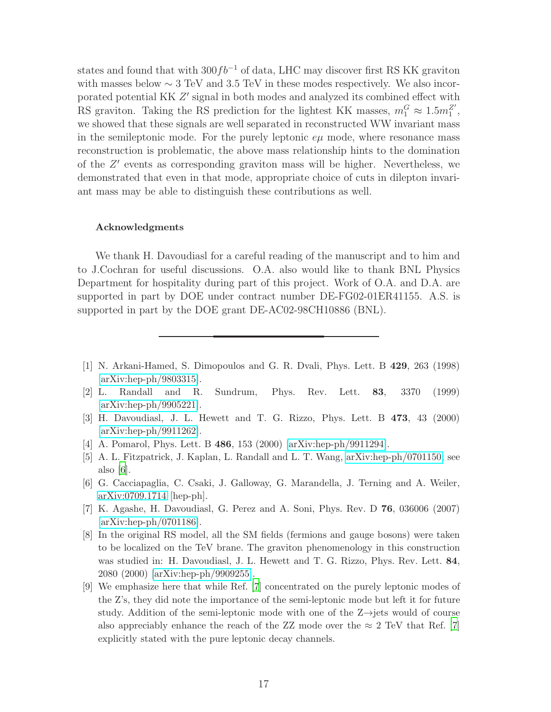states and found that with  $300fb^{-1}$  of data, LHC may discover first RS KK graviton with masses below  $\sim 3$  TeV and 3.5 TeV in these modes respectively. We also incorporated potential KK  $Z'$  signal in both modes and analyzed its combined effect with RS graviton. Taking the RS prediction for the lightest KK masses,  $m_1^G \approx 1.5 m_1^{Z'}$ , we showed that these signals are well separated in reconstructed WW invariant mass in the semileptonic mode. For the purely leptonic  $e\mu$  mode, where resonance mass reconstruction is problematic, the above mass relationship hints to the domination of the Z ′ events as corresponding graviton mass will be higher. Nevertheless, we demonstrated that even in that mode, appropriate choice of cuts in dilepton invariant mass may be able to distinguish these contributions as well.

### Acknowledgments

We thank H. Davoudiasl for a careful reading of the manuscript and to him and to J.Cochran for useful discussions. O.A. also would like to thank BNL Physics Department for hospitality during part of this project. Work of O.A. and D.A. are supported in part by DOE under contract number DE-FG02-01ER41155. A.S. is supported in part by the DOE grant DE-AC02-98CH10886 (BNL).

- <span id="page-16-0"></span>[1] N. Arkani-Hamed, S. Dimopoulos and G. R. Dvali, Phys. Lett. B 429, 263 (1998) [\[arXiv:hep-ph/9803315\]](http://arxiv.org/abs/hep-ph/9803315).
- <span id="page-16-1"></span>[2] L. Randall and R. Sundrum, Phys. Rev. Lett. 83, 3370 (1999) [\[arXiv:hep-ph/9905221\]](http://arxiv.org/abs/hep-ph/9905221).
- <span id="page-16-2"></span>[3] H. Davoudiasl, J. L. Hewett and T. G. Rizzo, Phys. Lett. B 473, 43 (2000) [\[arXiv:hep-ph/9911262\]](http://arxiv.org/abs/hep-ph/9911262).
- <span id="page-16-3"></span>[4] A. Pomarol, Phys. Lett. B 486, 153 (2000) [\[arXiv:hep-ph/9911294\]](http://arxiv.org/abs/hep-ph/9911294).
- <span id="page-16-4"></span>[5] A. L. Fitzpatrick, J. Kaplan, L. Randall and L. T. Wang, [arXiv:hep-ph/0701150;](http://arxiv.org/abs/hep-ph/0701150) see also  $|6|$ .
- <span id="page-16-8"></span>[6] G. Cacciapaglia, C. Csaki, J. Galloway, G. Marandella, J. Terning and A. Weiler, [arXiv:0709.1714](http://arxiv.org/abs/0709.1714) [hep-ph].
- <span id="page-16-5"></span>[7] K. Agashe, H. Davoudiasl, G. Perez and A. Soni, Phys. Rev. D 76, 036006 (2007) [\[arXiv:hep-ph/0701186\]](http://arxiv.org/abs/hep-ph/0701186).
- <span id="page-16-6"></span>[8] In the original RS model, all the SM fields (fermions and gauge bosons) were taken to be localized on the TeV brane. The graviton phenomenology in this construction was studied in: H. Davoudiasl, J. L. Hewett and T. G. Rizzo, Phys. Rev. Lett. 84, 2080 (2000) [\[arXiv:hep-ph/9909255\]](http://arxiv.org/abs/hep-ph/9909255).
- <span id="page-16-7"></span>[9] We emphasize here that while Ref. [\[7](#page-16-5)] concentrated on the purely leptonic modes of the Z's, they did note the importance of the semi-leptonic mode but left it for future study. Addition of the semi-leptonic mode with one of the  $Z \rightarrow$ jets would of course also appreciably enhance the reach of the ZZ mode over the  $\approx 2$  TeV that Ref. [\[7](#page-16-5)] explicitly stated with the pure leptonic decay channels.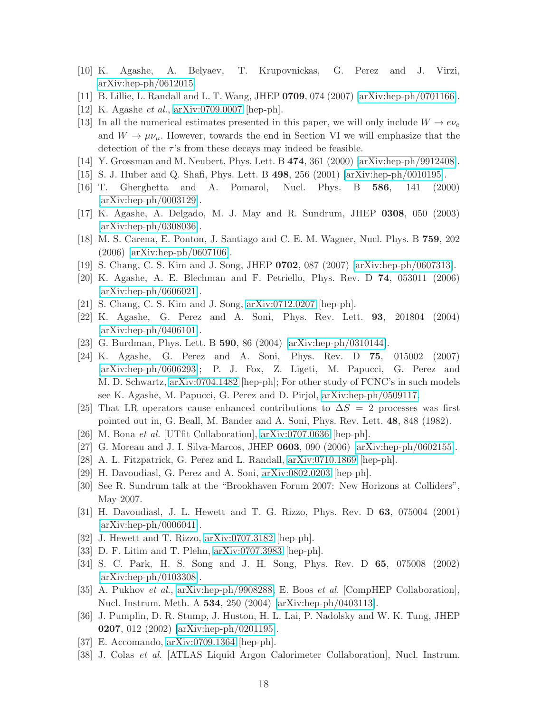- <span id="page-17-1"></span>[10] K. Agashe, A. Belyaev, T. Krupovnickas, G. Perez and J. Virzi, [arXiv:hep-ph/0612015.](http://arxiv.org/abs/hep-ph/0612015)
- <span id="page-17-2"></span>[11] B. Lillie, L. Randall and L. T. Wang, JHEP 0709, 074 (2007) [\[arXiv:hep-ph/0701166\]](http://arxiv.org/abs/hep-ph/0701166).
- <span id="page-17-3"></span>[12] K. Agashe et al., [arXiv:0709.0007](http://arxiv.org/abs/0709.0007) [hep-ph].
- <span id="page-17-4"></span>[13] In all the numerical estimates presented in this paper, we will only include  $W \to e \nu_e$ and  $W \to \mu\nu_\mu$ . However, towards the end in Section VI we will emphasize that the detection of the  $\tau$ 's from these decays may indeed be feasible.
- <span id="page-17-5"></span>[14] Y. Grossman and M. Neubert, Phys. Lett. B 474, 361 (2000) [\[arXiv:hep-ph/9912408\]](http://arxiv.org/abs/hep-ph/9912408).
- <span id="page-17-6"></span>[15] S. J. Huber and Q. Shafi, Phys. Lett. B 498, 256 (2001) [\[arXiv:hep-ph/0010195\]](http://arxiv.org/abs/hep-ph/0010195).
- <span id="page-17-7"></span>[16] T. Gherghetta and A. Pomarol, Nucl. Phys. B 586, 141 (2000) [\[arXiv:hep-ph/0003129\]](http://arxiv.org/abs/hep-ph/0003129).
- <span id="page-17-8"></span>[17] K. Agashe, A. Delgado, M. J. May and R. Sundrum, JHEP 0308, 050 (2003) [\[arXiv:hep-ph/0308036\]](http://arxiv.org/abs/hep-ph/0308036).
- <span id="page-17-9"></span>[18] M. S. Carena, E. Ponton, J. Santiago and C. E. M. Wagner, Nucl. Phys. B 759, 202 (2006) [\[arXiv:hep-ph/0607106\]](http://arxiv.org/abs/hep-ph/0607106).
- <span id="page-17-10"></span>[19] S. Chang, C. S. Kim and J. Song, JHEP 0702, 087 (2007) [\[arXiv:hep-ph/0607313\]](http://arxiv.org/abs/hep-ph/0607313).
- <span id="page-17-11"></span>[20] K. Agashe, A. E. Blechman and F. Petriello, Phys. Rev. D 74, 053011 (2006) [\[arXiv:hep-ph/0606021\]](http://arxiv.org/abs/hep-ph/0606021).
- <span id="page-17-12"></span>[21] S. Chang, C. S. Kim and J. Song, [arXiv:0712.0207](http://arxiv.org/abs/0712.0207) [hep-ph].
- <span id="page-17-13"></span>[22] K. Agashe, G. Perez and A. Soni, Phys. Rev. Lett. 93, 201804 (2004) [\[arXiv:hep-ph/0406101\]](http://arxiv.org/abs/hep-ph/0406101).
- <span id="page-17-14"></span>[23] G. Burdman, Phys. Lett. B 590, 86 (2004) [\[arXiv:hep-ph/0310144\]](http://arxiv.org/abs/hep-ph/0310144).
- <span id="page-17-15"></span>[24] K. Agashe, G. Perez and A. Soni, Phys. Rev. D 75, 015002 (2007) [\[arXiv:hep-ph/0606293\]](http://arxiv.org/abs/hep-ph/0606293); P. J. Fox, Z. Ligeti, M. Papucci, G. Perez and M. D. Schwartz, [arXiv:0704.1482](http://arxiv.org/abs/0704.1482) [hep-ph]; For other study of FCNC's in such models see K. Agashe, M. Papucci, G. Perez and D. Pirjol, [arXiv:hep-ph/0509117.](http://arxiv.org/abs/hep-ph/0509117)
- <span id="page-17-16"></span>[25] That LR operators cause enhanced contributions to  $\Delta S = 2$  processes was first pointed out in, G. Beall, M. Bander and A. Soni, Phys. Rev. Lett. 48, 848 (1982).
- <span id="page-17-17"></span>[26] M. Bona et al. [UTfit Collaboration], [arXiv:0707.0636](http://arxiv.org/abs/0707.0636) [hep-ph].
- <span id="page-17-18"></span>[27] G. Moreau and J. I. Silva-Marcos, JHEP 0603, 090 (2006) [\[arXiv:hep-ph/0602155\]](http://arxiv.org/abs/hep-ph/0602155).
- <span id="page-17-19"></span>[28] A. L. Fitzpatrick, G. Perez and L. Randall, [arXiv:0710.1869](http://arxiv.org/abs/0710.1869) [hep-ph].
- <span id="page-17-20"></span>[29] H. Davoudiasl, G. Perez and A. Soni, [arXiv:0802.0203](http://arxiv.org/abs/0802.0203) [hep-ph].
- <span id="page-17-21"></span>[30] See R. Sundrum talk at the "Brookhaven Forum 2007: New Horizons at Colliders", May 2007.
- <span id="page-17-0"></span>[31] H. Davoudiasl, J. L. Hewett and T. G. Rizzo, Phys. Rev. D 63, 075004 (2001) [\[arXiv:hep-ph/0006041\]](http://arxiv.org/abs/hep-ph/0006041).
- <span id="page-17-22"></span>[32] J. Hewett and T. Rizzo, [arXiv:0707.3182](http://arxiv.org/abs/0707.3182) [hep-ph].
- <span id="page-17-23"></span>[33] D. F. Litim and T. Plehn, [arXiv:0707.3983](http://arxiv.org/abs/0707.3983) [hep-ph].
- <span id="page-17-24"></span>[34] S. C. Park, H. S. Song and J. H. Song, Phys. Rev. D 65, 075008 (2002) [\[arXiv:hep-ph/0103308\]](http://arxiv.org/abs/hep-ph/0103308).
- <span id="page-17-25"></span>[35] A. Pukhov et al., [arXiv:hep-ph/9908288,](http://arxiv.org/abs/hep-ph/9908288) E. Boos et al. [CompHEP Collaboration], Nucl. Instrum. Meth. A 534, 250 (2004) [\[arXiv:hep-ph/0403113\]](http://arxiv.org/abs/hep-ph/0403113).
- <span id="page-17-26"></span>[36] J. Pumplin, D. R. Stump, J. Huston, H. L. Lai, P. Nadolsky and W. K. Tung, JHEP 0207, 012 (2002) [\[arXiv:hep-ph/0201195\]](http://arxiv.org/abs/hep-ph/0201195).
- <span id="page-17-27"></span>[37] E. Accomando, [arXiv:0709.1364](http://arxiv.org/abs/0709.1364) [hep-ph].
- <span id="page-17-28"></span>[38] J. Colas et al. [ATLAS Liquid Argon Calorimeter Collaboration], Nucl. Instrum.